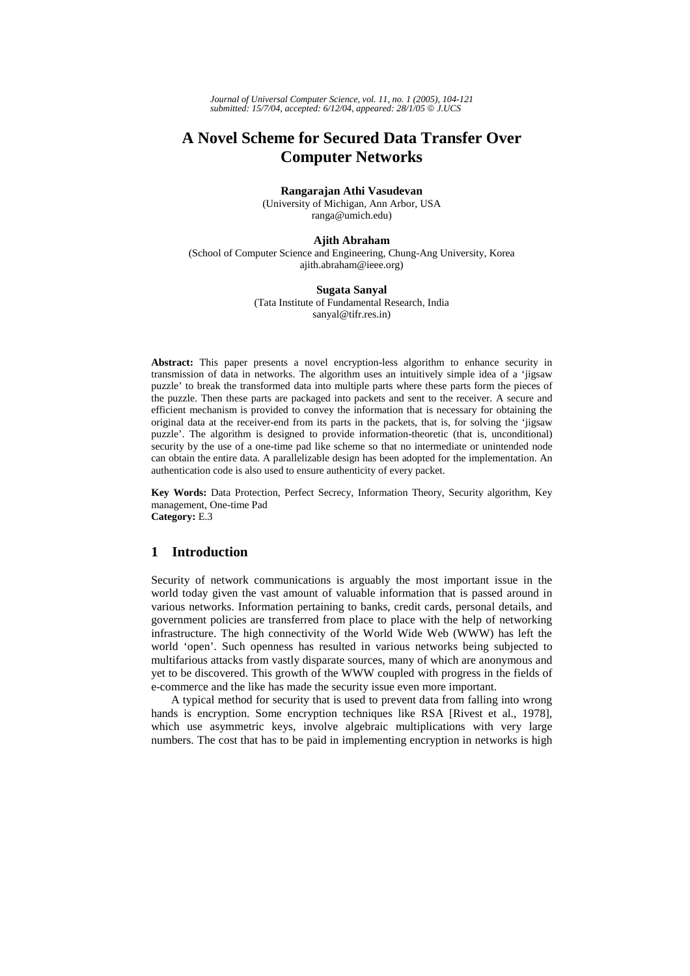*Journal of Universal Computer Science, vol. 11, no. 1 (2005), 104-121 submitted: 15/7/04, accepted: 6/12/04, appeared: 28/1/05* © *J.UCS*

# **A Novel Scheme for Secured Data Transfer Over Computer Networks**

#### **Rangarajan Athi Vasudevan**

(University of Michigan, Ann Arbor, USA ranga@umich.edu)

### **Ajith Abraham**

(School of Computer Science and Engineering, Chung-Ang University, Korea ajith.abraham@ieee.org)

### **Sugata Sanyal**

(Tata Institute of Fundamental Research, India sanyal@tifr.res.in)

Abstract: This paper presents a novel encryption-less algorithm to enhance security in transmission of data in networks. The algorithm uses an intuitively simple idea of a 'jigsaw puzzle' to break the transformed data into multiple parts where these parts form the pieces of the puzzle. Then these parts are packaged into packets and sent to the receiver. A secure and efficient mechanism is provided to convey the information that is necessary for obtaining the original data at the receiver-end from its parts in the packets, that is, for solving the 'jigsaw puzzle'. The algorithm is designed to provide information-theoretic (that is, unconditional) security by the use of a one-time pad like scheme so that no intermediate or unintended node can obtain the entire data. A parallelizable design has been adopted for the implementation. An authentication code is also used to ensure authenticity of every packet.

**Key Words:** Data Protection, Perfect Secrecy, Information Theory, Security algorithm, Key management, One-time Pad **Category:** E.3

## **1 Introduction**

Security of network communications is arguably the most important issue in the world today given the vast amount of valuable information that is passed around in various networks. Information pertaining to banks, credit cards, personal details, and government policies are transferred from place to place with the help of networking infrastructure. The high connectivity of the World Wide Web (WWW) has left the world 'open'. Such openness has resulted in various networks being subjected to multifarious attacks from vastly disparate sources, many of which are anonymous and yet to be discovered. This growth of the WWW coupled with progress in the fields of e-commerce and the like has made the security issue even more important.

A typical method for security that is used to prevent data from falling into wrong hands is encryption. Some encryption techniques like RSA [Rivest et al., 1978], which use asymmetric keys, involve algebraic multiplications with very large numbers. The cost that has to be paid in implementing encryption in networks is high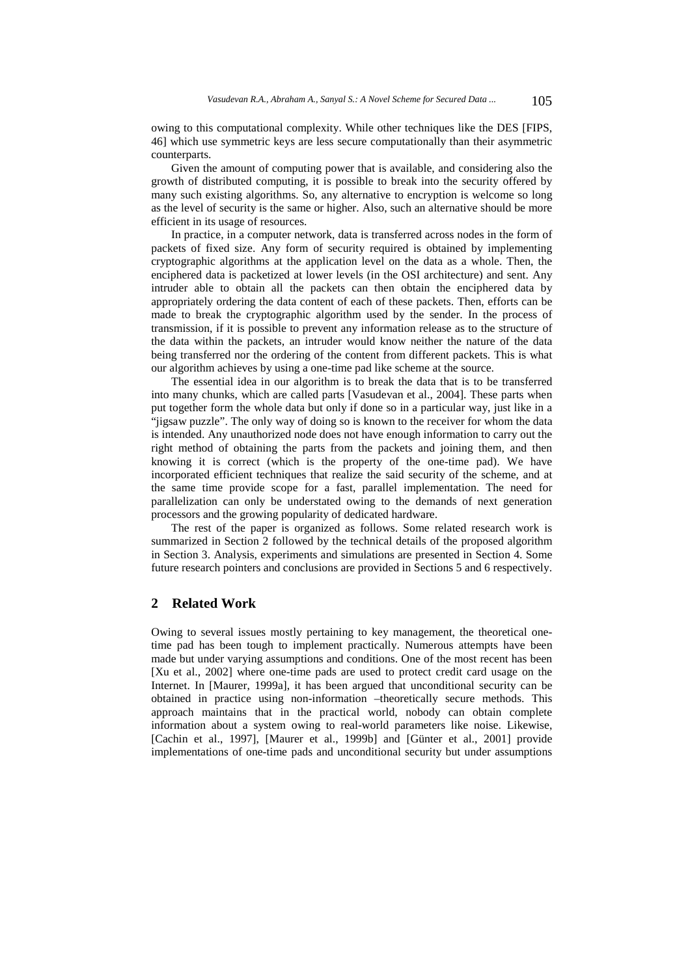owing to this computational complexity. While other techniques like the DES [FIPS, 46] which use symmetric keys are less secure computationally than their asymmetric counterparts.

Given the amount of computing power that is available, and considering also the growth of distributed computing, it is possible to break into the security offered by many such existing algorithms. So, any alternative to encryption is welcome so long as the level of security is the same or higher. Also, such an alternative should be more efficient in its usage of resources.

In practice, in a computer network, data is transferred across nodes in the form of packets of fixed size. Any form of security required is obtained by implementing cryptographic algorithms at the application level on the data as a whole. Then, the enciphered data is packetized at lower levels (in the OSI architecture) and sent. Any intruder able to obtain all the packets can then obtain the enciphered data by appropriately ordering the data content of each of these packets. Then, efforts can be made to break the cryptographic algorithm used by the sender. In the process of transmission, if it is possible to prevent any information release as to the structure of the data within the packets, an intruder would know neither the nature of the data being transferred nor the ordering of the content from different packets. This is what our algorithm achieves by using a one-time pad like scheme at the source.

The essential idea in our algorithm is to break the data that is to be transferred into many chunks, which are called parts [Vasudevan et al., 2004]. These parts when put together form the whole data but only if done so in a particular way, just like in a "jigsaw puzzle". The only way of doing so is known to the receiver for whom the data is intended. Any unauthorized node does not have enough information to carry out the right method of obtaining the parts from the packets and joining them, and then knowing it is correct (which is the property of the one-time pad). We have incorporated efficient techniques that realize the said security of the scheme, and at the same time provide scope for a fast, parallel implementation. The need for parallelization can only be understated owing to the demands of next generation processors and the growing popularity of dedicated hardware.

The rest of the paper is organized as follows. Some related research work is summarized in Section 2 followed by the technical details of the proposed algorithm in Section 3. Analysis, experiments and simulations are presented in Section 4. Some future research pointers and conclusions are provided in Sections 5 and 6 respectively.

## **2 Related Work**

Owing to several issues mostly pertaining to key management, the theoretical onetime pad has been tough to implement practically. Numerous attempts have been made but under varying assumptions and conditions. One of the most recent has been [Xu et al., 2002] where one-time pads are used to protect credit card usage on the Internet. In [Maurer, 1999a], it has been argued that unconditional security can be obtained in practice using non-information –theoretically secure methods. This approach maintains that in the practical world, nobody can obtain complete information about a system owing to real-world parameters like noise. Likewise, [Cachin et al., 1997], [Maurer et al., 1999b] and [Günter et al., 2001] provide implementations of one-time pads and unconditional security but under assumptions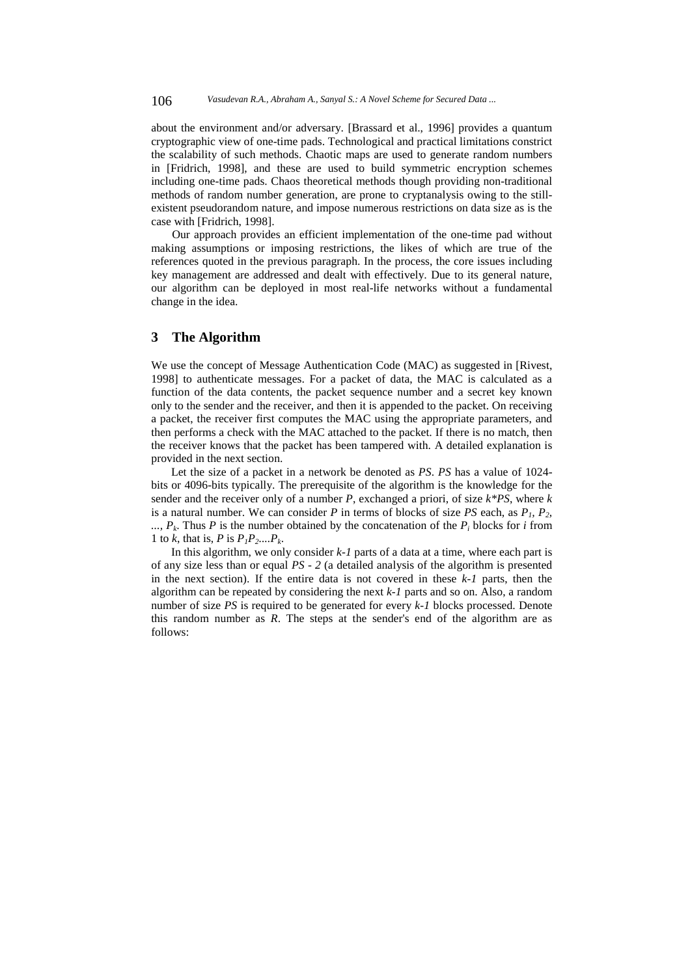about the environment and/or adversary. [Brassard et al., 1996] provides a quantum cryptographic view of one-time pads. Technological and practical limitations constrict the scalability of such methods. Chaotic maps are used to generate random numbers in [Fridrich, 1998], and these are used to build symmetric encryption schemes including one-time pads. Chaos theoretical methods though providing non-traditional methods of random number generation, are prone to cryptanalysis owing to the stillexistent pseudorandom nature, and impose numerous restrictions on data size as is the case with [Fridrich, 1998].

Our approach provides an efficient implementation of the one-time pad without making assumptions or imposing restrictions, the likes of which are true of the references quoted in the previous paragraph. In the process, the core issues including key management are addressed and dealt with effectively. Due to its general nature, our algorithm can be deployed in most real-life networks without a fundamental change in the idea.

## **3 The Algorithm**

We use the concept of Message Authentication Code (MAC) as suggested in [Rivest, 1998] to authenticate messages. For a packet of data, the MAC is calculated as a function of the data contents, the packet sequence number and a secret key known only to the sender and the receiver, and then it is appended to the packet. On receiving a packet, the receiver first computes the MAC using the appropriate parameters, and then performs a check with the MAC attached to the packet. If there is no match, then the receiver knows that the packet has been tampered with. A detailed explanation is provided in the next section.

Let the size of a packet in a network be denoted as *PS*. *PS* has a value of 1024 bits or 4096-bits typically. The prerequisite of the algorithm is the knowledge for the sender and the receiver only of a number *P*, exchanged a priori, of size *k\*PS*, where *k*  is a natural number. We can consider  $P$  in terms of blocks of size  $PS$  each, as  $P_1$ ,  $P_2$ ,  $\ldots$ ,  $P_k$ . Thus *P* is the number obtained by the concatenation of the  $P_i$  blocks for *i* from 1 to *k*, that is, *P* is  $P_1P_2...P_k$ .

In this algorithm, we only consider  $k-1$  parts of a data at a time, where each part is of any size less than or equal *PS - 2* (a detailed analysis of the algorithm is presented in the next section). If the entire data is not covered in these *k-1* parts, then the algorithm can be repeated by considering the next *k-1* parts and so on. Also, a random number of size *PS* is required to be generated for every *k-1* blocks processed. Denote this random number as *R*. The steps at the sender's end of the algorithm are as follows: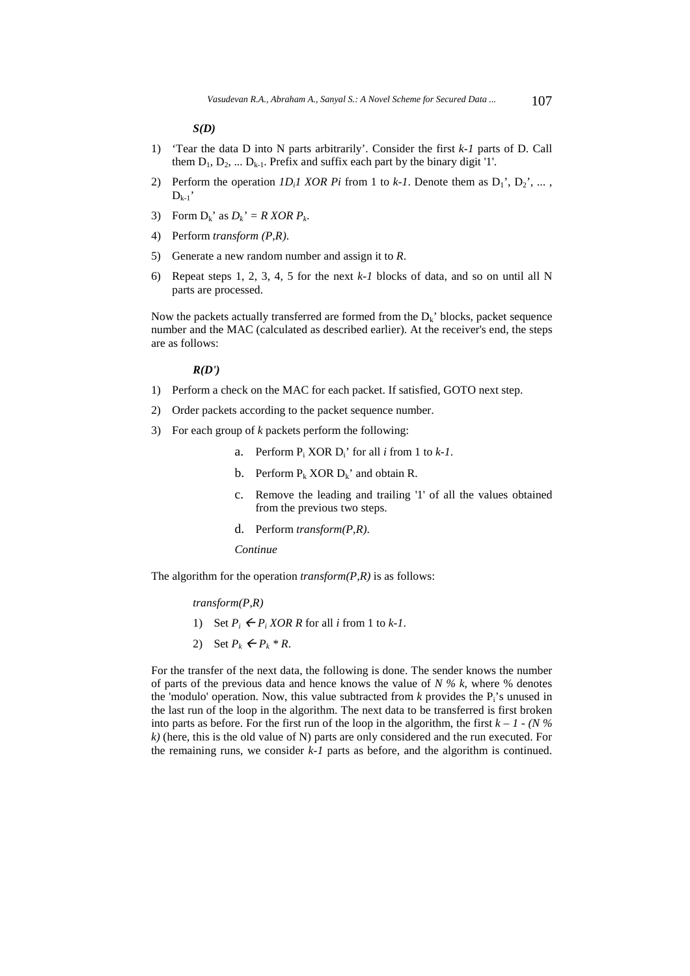*S(D)* 

- 1) 'Tear the data D into N parts arbitrarily'. Consider the first *k-1* parts of D. Call them  $D_1, D_2, \ldots D_{k-1}$ . Prefix and suffix each part by the binary digit '1'.
- 2) Perform the operation  $ID_iI$  XOR Pi from 1 to  $k-I$ . Denote them as  $D_1$ <sup>'</sup>,  $D_2$ <sup>'</sup>, ...,  $D_{k-1}$
- 3) Form  $D_k$ ' as  $D_k$ ' = R XOR  $P_k$ .
- 4) Perform *transform (P,R)*.
- 5) Generate a new random number and assign it to *R*.
- 6) Repeat steps 1, 2, 3, 4, 5 for the next *k-1* blocks of data, and so on until all N parts are processed.

Now the packets actually transferred are formed from the  $D_k$ ' blocks, packet sequence number and the MAC (calculated as described earlier). At the receiver's end, the steps are as follows:

#### *R(D')*

- 1) Perform a check on the MAC for each packet. If satisfied, GOTO next step.
- 2) Order packets according to the packet sequence number.
- 3) For each group of *k* packets perform the following:
	- a. Perform  $P_i$  XOR  $D_i$ <sup> $\prime$ </sup> for all *i* from 1 to *k*-1.
	- b. Perform  $P_k$  XOR  $D_k$ ' and obtain R.
	- c. Remove the leading and trailing '1' of all the values obtained from the previous two steps.
	- d. Perform *transform(P,R)*.

#### *Continue*

The algorithm for the operation *transform(P,R)* is as follows:

### *transform(P,R)*

- 1) Set  $P_i \leftarrow P_i XOR R$  for all *i* from 1 to *k*-1.
- 2) Set  $P_k \leftarrow P_k * R$ .

For the transfer of the next data, the following is done. The sender knows the number of parts of the previous data and hence knows the value of *N % k*, where % denotes the 'modulo' operation. Now, this value subtracted from  $k$  provides the  $P_i$ 's unused in the last run of the loop in the algorithm. The next data to be transferred is first broken into parts as before. For the first run of the loop in the algorithm, the first  $k - 1 - (N\%)$ *k)* (here, this is the old value of N) parts are only considered and the run executed. For the remaining runs, we consider *k-1* parts as before, and the algorithm is continued.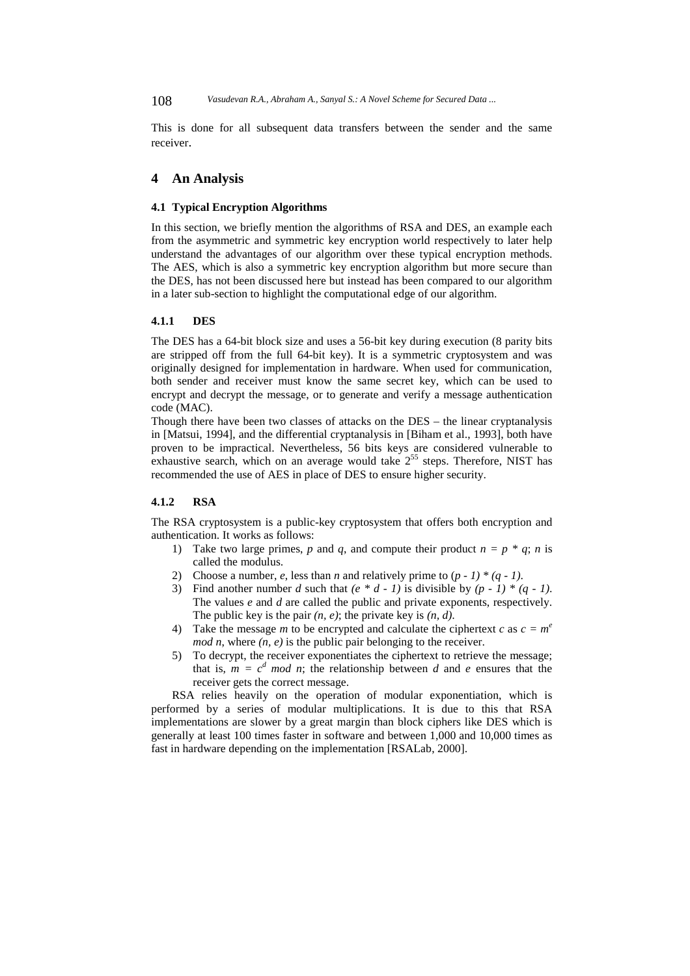108 *Vasudevan R.A., Abraham A., Sanyal S.: A Novel Scheme for Secured Data ...*

This is done for all subsequent data transfers between the sender and the same receiver.

### **4 An Analysis**

### **4.1 Typical Encryption Algorithms**

In this section, we briefly mention the algorithms of RSA and DES, an example each from the asymmetric and symmetric key encryption world respectively to later help understand the advantages of our algorithm over these typical encryption methods. The AES, which is also a symmetric key encryption algorithm but more secure than the DES, has not been discussed here but instead has been compared to our algorithm in a later sub-section to highlight the computational edge of our algorithm.

### **4.1.1 DES**

The DES has a 64-bit block size and uses a 56-bit key during execution (8 parity bits are stripped off from the full 64-bit key). It is a symmetric cryptosystem and was originally designed for implementation in hardware. When used for communication, both sender and receiver must know the same secret key, which can be used to encrypt and decrypt the message, or to generate and verify a message authentication code (MAC).

Though there have been two classes of attacks on the DES – the linear cryptanalysis in [Matsui, 1994], and the differential cryptanalysis in [Biham et al., 1993], both have proven to be impractical. Nevertheless, 56 bits keys are considered vulnerable to exhaustive search, which on an average would take  $2^{55}$  steps. Therefore, NIST has recommended the use of AES in place of DES to ensure higher security.

## **4.1.2 RSA**

The RSA cryptosystem is a public-key cryptosystem that offers both encryption and authentication. It works as follows:

- 1) Take two large primes, *p* and *q*, and compute their product  $n = p * q$ ; *n* is called the modulus.
- 2) Choose a number, *e*, less than *n* and relatively prime to  $(p 1) * (q 1)$ .
- 3) Find another number *d* such that  $(e * d 1)$  is divisible by  $(p 1) * (q 1)$ . The values *e* and *d* are called the public and private exponents, respectively. The public key is the pair *(n, e)*; the private key is *(n, d)*.
- 4) Take the message *m* to be encrypted and calculate the ciphertext *c* as  $c = m^e$ *mod n*, where  $(n, e)$  is the public pair belonging to the receiver.
- 5) To decrypt, the receiver exponentiates the ciphertext to retrieve the message; that is,  $m = c^d \mod n$ ; the relationship between *d* and *e* ensures that the receiver gets the correct message.

RSA relies heavily on the operation of modular exponentiation, which is performed by a series of modular multiplications. It is due to this that RSA implementations are slower by a great margin than block ciphers like DES which is generally at least 100 times faster in software and between 1,000 and 10,000 times as fast in hardware depending on the implementation [RSALab, 2000].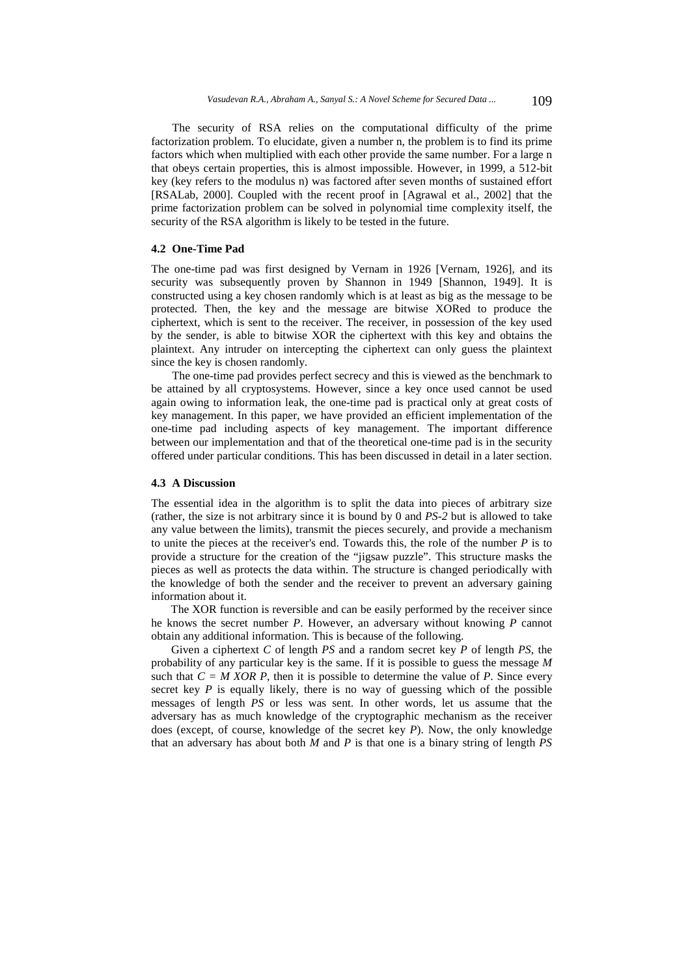The security of RSA relies on the computational difficulty of the prime factorization problem. To elucidate, given a number n, the problem is to find its prime factors which when multiplied with each other provide the same number. For a large n that obeys certain properties, this is almost impossible. However, in 1999, a 512-bit key (key refers to the modulus n) was factored after seven months of sustained effort [RSALab, 2000]. Coupled with the recent proof in [Agrawal et al., 2002] that the prime factorization problem can be solved in polynomial time complexity itself, the security of the RSA algorithm is likely to be tested in the future.

### **4.2 One-Time Pad**

The one-time pad was first designed by Vernam in 1926 [Vernam, 1926], and its security was subsequently proven by Shannon in 1949 [Shannon, 1949]. It is constructed using a key chosen randomly which is at least as big as the message to be protected. Then, the key and the message are bitwise XORed to produce the ciphertext, which is sent to the receiver. The receiver, in possession of the key used by the sender, is able to bitwise XOR the ciphertext with this key and obtains the plaintext. Any intruder on intercepting the ciphertext can only guess the plaintext since the key is chosen randomly.

The one-time pad provides perfect secrecy and this is viewed as the benchmark to be attained by all cryptosystems. However, since a key once used cannot be used again owing to information leak, the one-time pad is practical only at great costs of key management. In this paper, we have provided an efficient implementation of the one-time pad including aspects of key management. The important difference between our implementation and that of the theoretical one-time pad is in the security offered under particular conditions. This has been discussed in detail in a later section.

## **4.3 A Discussion**

The essential idea in the algorithm is to split the data into pieces of arbitrary size (rather, the size is not arbitrary since it is bound by 0 and *PS-2* but is allowed to take any value between the limits), transmit the pieces securely, and provide a mechanism to unite the pieces at the receiver's end. Towards this, the role of the number *P* is to provide a structure for the creation of the "jigsaw puzzle". This structure masks the pieces as well as protects the data within. The structure is changed periodically with the knowledge of both the sender and the receiver to prevent an adversary gaining information about it.

The XOR function is reversible and can be easily performed by the receiver since he knows the secret number *P*. However, an adversary without knowing *P* cannot obtain any additional information. This is because of the following.

Given a ciphertext *C* of length *PS* and a random secret key *P* of length *PS*, the probability of any particular key is the same. If it is possible to guess the message *M* such that  $C = M XOR P$ , then it is possible to determine the value of *P*. Since every secret key  $P$  is equally likely, there is no way of guessing which of the possible messages of length *PS* or less was sent. In other words, let us assume that the adversary has as much knowledge of the cryptographic mechanism as the receiver does (except, of course, knowledge of the secret key *P*). Now, the only knowledge that an adversary has about both  $\overline{M}$  and  $P$  is that one is a binary string of length  $PS$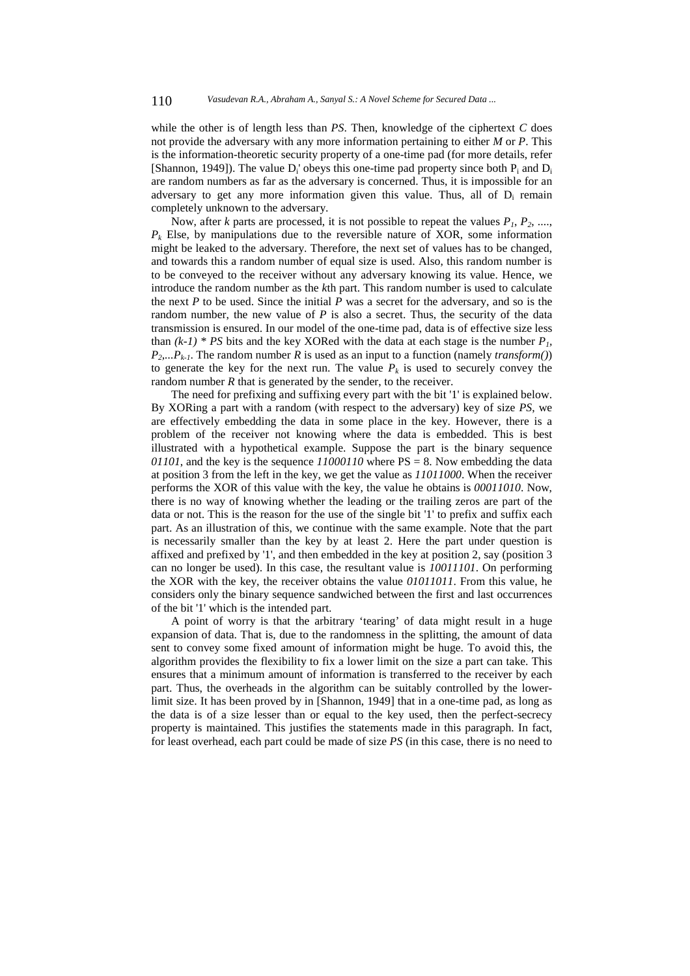while the other is of length less than *PS*. Then, knowledge of the ciphertext *C* does not provide the adversary with any more information pertaining to either *M* or *P*. This is the information-theoretic security property of a one-time pad (for more details, refer [Shannon, 1949]). The value  $D_i'$  obeys this one-time pad property since both  $P_i$  and  $D_i$ are random numbers as far as the adversary is concerned. Thus, it is impossible for an adversary to get any more information given this value. Thus, all of  $D_i$  remain completely unknown to the adversary.

Now, after *k* parts are processed, it is not possible to repeat the values  $P_1$ ,  $P_2$ , ...,  $P_k$  Else, by manipulations due to the reversible nature of XOR, some information might be leaked to the adversary. Therefore, the next set of values has to be changed, and towards this a random number of equal size is used. Also, this random number is to be conveyed to the receiver without any adversary knowing its value. Hence, we introduce the random number as the *k*th part. This random number is used to calculate the next *P* to be used. Since the initial *P* was a secret for the adversary, and so is the random number, the new value of *P* is also a secret. Thus, the security of the data transmission is ensured. In our model of the one-time pad, data is of effective size less than  $(k-1)$  \* PS bits and the key XORed with the data at each stage is the number  $P_i$ , *P2,...Pk-1*. The random number *R* is used as an input to a function (namely *transform()*) to generate the key for the next run. The value  $P_k$  is used to securely convey the random number *R* that is generated by the sender, to the receiver.

The need for prefixing and suffixing every part with the bit '1' is explained below. By XORing a part with a random (with respect to the adversary) key of size *PS*, we are effectively embedding the data in some place in the key. However, there is a problem of the receiver not knowing where the data is embedded. This is best illustrated with a hypothetical example. Suppose the part is the binary sequence *01101*, and the key is the sequence *11000110* where PS = 8. Now embedding the data at position 3 from the left in the key, we get the value as *11011000*. When the receiver performs the XOR of this value with the key, the value he obtains is *00011010*. Now, there is no way of knowing whether the leading or the trailing zeros are part of the data or not. This is the reason for the use of the single bit '1' to prefix and suffix each part. As an illustration of this, we continue with the same example. Note that the part is necessarily smaller than the key by at least 2. Here the part under question is affixed and prefixed by '1', and then embedded in the key at position 2, say (position 3 can no longer be used). In this case, the resultant value is *10011101*. On performing the XOR with the key, the receiver obtains the value *01011011*. From this value, he considers only the binary sequence sandwiched between the first and last occurrences of the bit '1' which is the intended part.

A point of worry is that the arbitrary 'tearing' of data might result in a huge expansion of data. That is, due to the randomness in the splitting, the amount of data sent to convey some fixed amount of information might be huge. To avoid this, the algorithm provides the flexibility to fix a lower limit on the size a part can take. This ensures that a minimum amount of information is transferred to the receiver by each part. Thus, the overheads in the algorithm can be suitably controlled by the lowerlimit size. It has been proved by in [Shannon, 1949] that in a one-time pad, as long as the data is of a size lesser than or equal to the key used, then the perfect-secrecy property is maintained. This justifies the statements made in this paragraph. In fact, for least overhead, each part could be made of size *PS* (in this case, there is no need to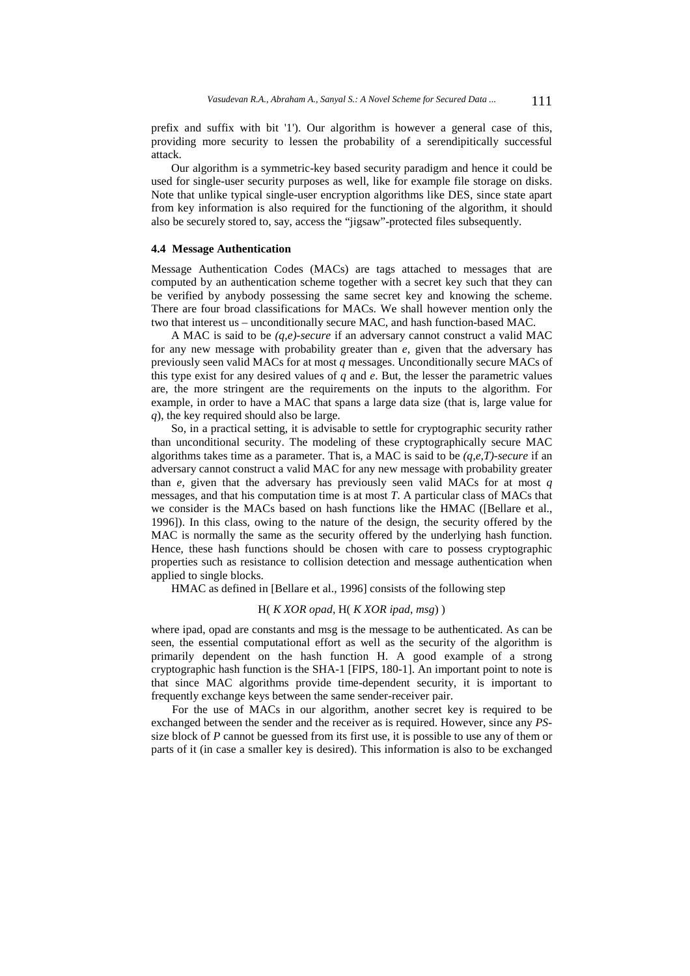prefix and suffix with bit '1'). Our algorithm is however a general case of this, providing more security to lessen the probability of a serendipitically successful attack.

Our algorithm is a symmetric-key based security paradigm and hence it could be used for single-user security purposes as well, like for example file storage on disks. Note that unlike typical single-user encryption algorithms like DES, since state apart from key information is also required for the functioning of the algorithm, it should also be securely stored to, say, access the "jigsaw"-protected files subsequently.

### **4.4 Message Authentication**

Message Authentication Codes (MACs) are tags attached to messages that are computed by an authentication scheme together with a secret key such that they can be verified by anybody possessing the same secret key and knowing the scheme. There are four broad classifications for MACs. We shall however mention only the two that interest us – unconditionally secure MAC, and hash function-based MAC.

A MAC is said to be *(q,e)-secure* if an adversary cannot construct a valid MAC for any new message with probability greater than *e*, given that the adversary has previously seen valid MACs for at most *q* messages. Unconditionally secure MACs of this type exist for any desired values of  $q$  and  $e$ . But, the lesser the parametric values are, the more stringent are the requirements on the inputs to the algorithm. For example, in order to have a MAC that spans a large data size (that is, large value for *q*), the key required should also be large.

So, in a practical setting, it is advisable to settle for cryptographic security rather than unconditional security. The modeling of these cryptographically secure MAC algorithms takes time as a parameter. That is, a MAC is said to be *(q,e,T)-secure* if an adversary cannot construct a valid MAC for any new message with probability greater than *e*, given that the adversary has previously seen valid MACs for at most *q* messages, and that his computation time is at most *T*. A particular class of MACs that we consider is the MACs based on hash functions like the HMAC ([Bellare et al., 1996]). In this class, owing to the nature of the design, the security offered by the MAC is normally the same as the security offered by the underlying hash function. Hence, these hash functions should be chosen with care to possess cryptographic properties such as resistance to collision detection and message authentication when applied to single blocks.

HMAC as defined in [Bellare et al., 1996] consists of the following step

## H( *K XOR opad*, H( *K XOR ipad*, *msg*) )

where ipad, opad are constants and msg is the message to be authenticated. As can be seen, the essential computational effort as well as the security of the algorithm is primarily dependent on the hash function H. A good example of a strong cryptographic hash function is the SHA-1 [FIPS, 180-1]. An important point to note is that since MAC algorithms provide time-dependent security, it is important to frequently exchange keys between the same sender-receiver pair.

For the use of MACs in our algorithm, another secret key is required to be exchanged between the sender and the receiver as is required. However, since any *PS*size block of *P* cannot be guessed from its first use, it is possible to use any of them or parts of it (in case a smaller key is desired). This information is also to be exchanged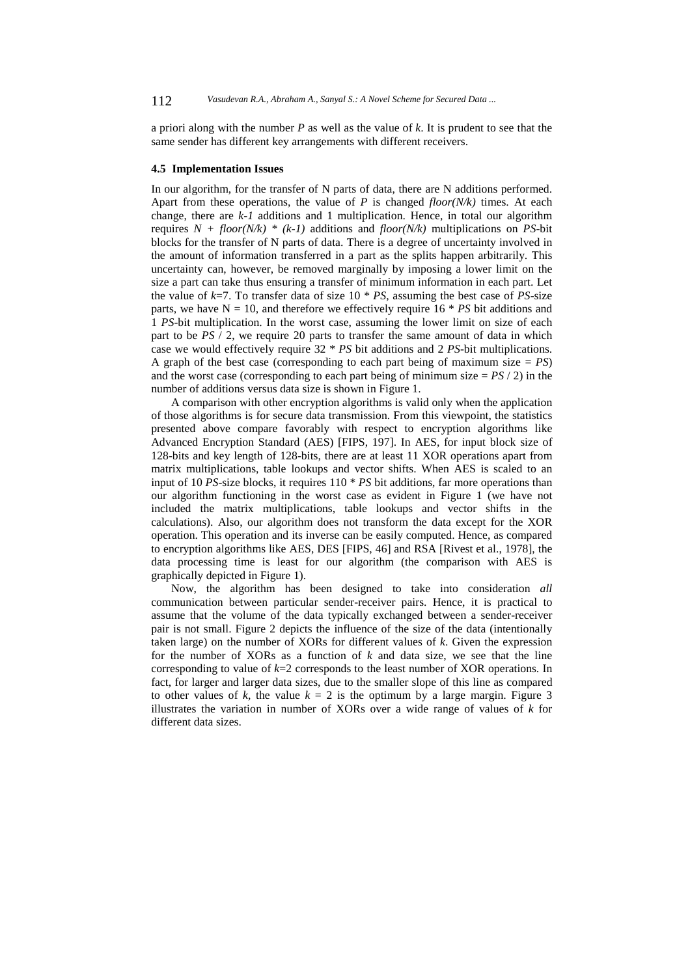a priori along with the number *P* as well as the value of *k*. It is prudent to see that the same sender has different key arrangements with different receivers.

#### **4.5 Implementation Issues**

In our algorithm, for the transfer of N parts of data, there are N additions performed. Apart from these operations, the value of *P* is changed *floor(N/k)* times. At each change, there are *k-1* additions and 1 multiplication. Hence, in total our algorithm requires  $N + floor(N/k) * (k-1)$  additions and  $floor(N/k)$  multiplications on *PS*-bit blocks for the transfer of N parts of data. There is a degree of uncertainty involved in the amount of information transferred in a part as the splits happen arbitrarily. This uncertainty can, however, be removed marginally by imposing a lower limit on the size a part can take thus ensuring a transfer of minimum information in each part. Let the value of  $k=7$ . To transfer data of size 10  $*$  *PS*, assuming the best case of *PS*-size parts, we have  $N = 10$ , and therefore we effectively require  $16 * PS$  bit additions and 1 *PS*-bit multiplication. In the worst case, assuming the lower limit on size of each part to be *PS* / 2, we require 20 parts to transfer the same amount of data in which case we would effectively require 32 \* *PS* bit additions and 2 *PS*-bit multiplications. A graph of the best case (corresponding to each part being of maximum size  $= PS$ ) and the worst case (corresponding to each part being of minimum size  $= PS / 2$ ) in the number of additions versus data size is shown in Figure 1.

A comparison with other encryption algorithms is valid only when the application of those algorithms is for secure data transmission. From this viewpoint, the statistics presented above compare favorably with respect to encryption algorithms like Advanced Encryption Standard (AES) [FIPS, 197]. In AES, for input block size of 128-bits and key length of 128-bits, there are at least 11 XOR operations apart from matrix multiplications, table lookups and vector shifts. When AES is scaled to an input of 10 *PS*-size blocks, it requires 110 \* *PS* bit additions, far more operations than our algorithm functioning in the worst case as evident in Figure 1 (we have not included the matrix multiplications, table lookups and vector shifts in the calculations). Also, our algorithm does not transform the data except for the XOR operation. This operation and its inverse can be easily computed. Hence, as compared to encryption algorithms like AES, DES [FIPS, 46] and RSA [Rivest et al., 1978], the data processing time is least for our algorithm (the comparison with AES is graphically depicted in Figure 1).

Now, the algorithm has been designed to take into consideration *all* communication between particular sender-receiver pairs. Hence, it is practical to assume that the volume of the data typically exchanged between a sender-receiver pair is not small. Figure 2 depicts the influence of the size of the data (intentionally taken large) on the number of XORs for different values of *k*. Given the expression for the number of XORs as a function of *k* and data size, we see that the line corresponding to value of  $k=2$  corresponds to the least number of XOR operations. In fact, for larger and larger data sizes, due to the smaller slope of this line as compared to other values of *k*, the value  $k = 2$  is the optimum by a large margin. Figure 3 illustrates the variation in number of XORs over a wide range of values of *k* for different data sizes.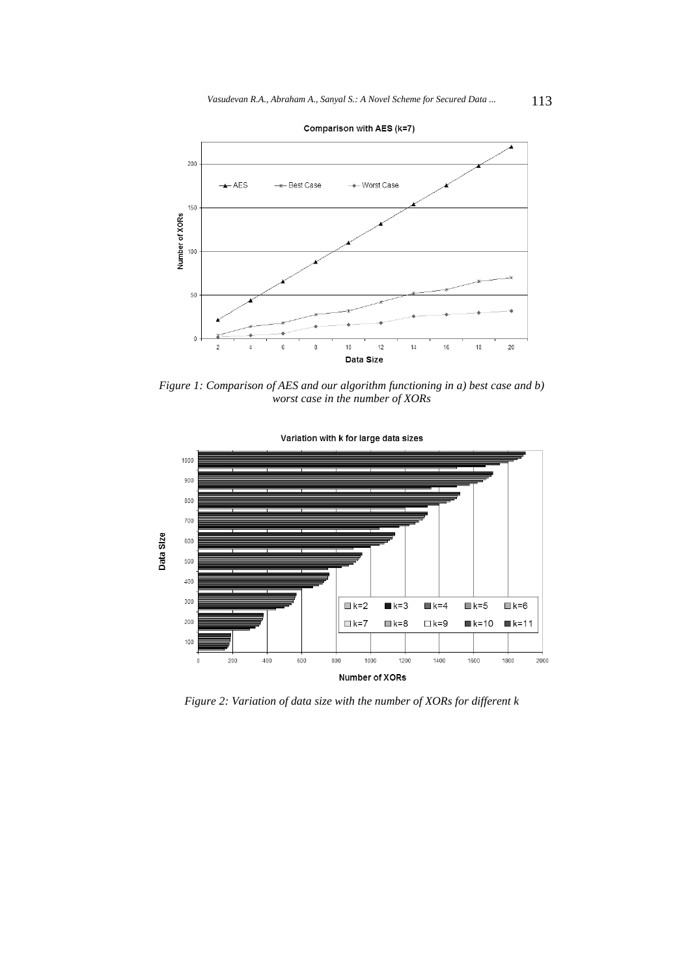

*Figure 1: Comparison of AES and our algorithm functioning in a) best case and b) worst case in the number of XORs* 



*Figure 2: Variation of data size with the number of XORs for different k*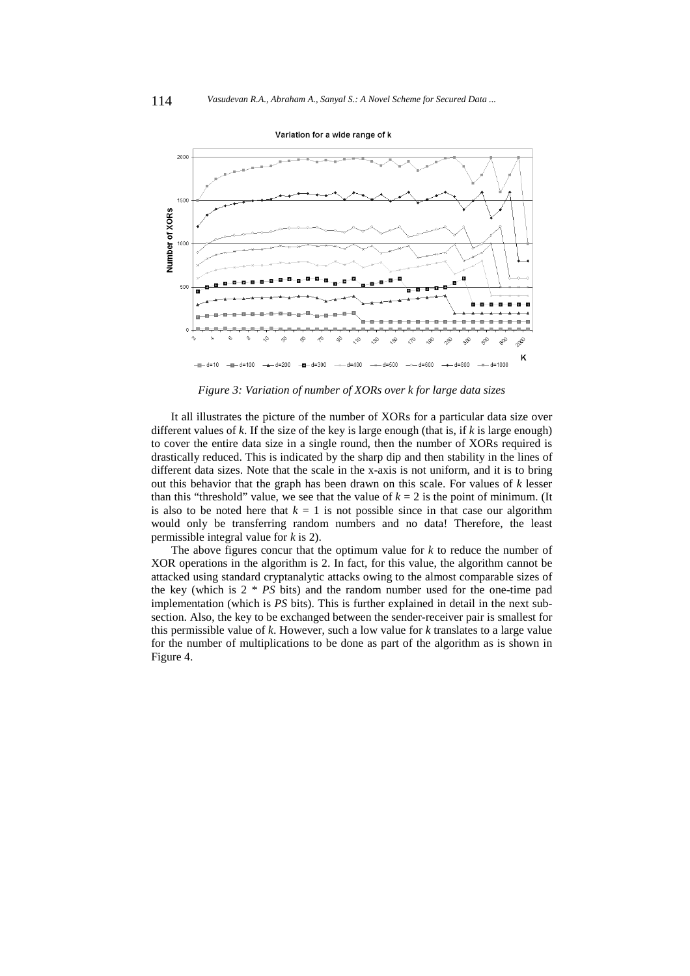

#### Variation for a wide range of k

*Figure 3: Variation of number of XORs over k for large data sizes* 

It all illustrates the picture of the number of XORs for a particular data size over different values of *k*. If the size of the key is large enough (that is, if *k* is large enough) to cover the entire data size in a single round, then the number of XORs required is drastically reduced. This is indicated by the sharp dip and then stability in the lines of different data sizes. Note that the scale in the x-axis is not uniform, and it is to bring out this behavior that the graph has been drawn on this scale. For values of *k* lesser than this "threshold" value, we see that the value of  $k = 2$  is the point of minimum. (It is also to be noted here that  $k = 1$  is not possible since in that case our algorithm would only be transferring random numbers and no data! Therefore, the least permissible integral value for *k* is 2).

The above figures concur that the optimum value for *k* to reduce the number of XOR operations in the algorithm is 2. In fact, for this value, the algorithm cannot be attacked using standard cryptanalytic attacks owing to the almost comparable sizes of the key (which is 2 \* *PS* bits) and the random number used for the one-time pad implementation (which is *PS* bits). This is further explained in detail in the next subsection. Also, the key to be exchanged between the sender-receiver pair is smallest for this permissible value of *k*. However, such a low value for *k* translates to a large value for the number of multiplications to be done as part of the algorithm as is shown in Figure 4.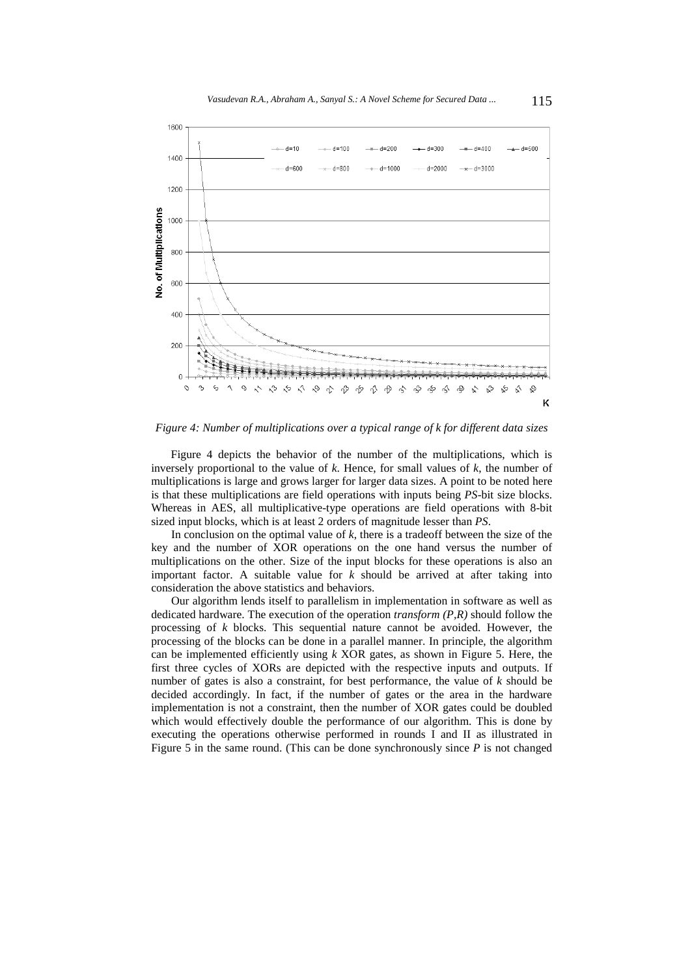

*Figure 4: Number of multiplications over a typical range of k for different data sizes* 

Figure 4 depicts the behavior of the number of the multiplications, which is inversely proportional to the value of *k*. Hence, for small values of *k*, the number of multiplications is large and grows larger for larger data sizes. A point to be noted here is that these multiplications are field operations with inputs being *PS*-bit size blocks. Whereas in AES, all multiplicative-type operations are field operations with 8-bit sized input blocks, which is at least 2 orders of magnitude lesser than *PS*.

In conclusion on the optimal value of  $k$ , there is a tradeoff between the size of the key and the number of XOR operations on the one hand versus the number of multiplications on the other. Size of the input blocks for these operations is also an important factor. A suitable value for *k* should be arrived at after taking into consideration the above statistics and behaviors.

Our algorithm lends itself to parallelism in implementation in software as well as dedicated hardware. The execution of the operation *transform (P,R)* should follow the processing of *k* blocks. This sequential nature cannot be avoided. However, the processing of the blocks can be done in a parallel manner. In principle, the algorithm can be implemented efficiently using *k* XOR gates, as shown in Figure 5. Here, the first three cycles of XORs are depicted with the respective inputs and outputs. If number of gates is also a constraint, for best performance, the value of *k* should be decided accordingly. In fact, if the number of gates or the area in the hardware implementation is not a constraint, then the number of XOR gates could be doubled which would effectively double the performance of our algorithm. This is done by executing the operations otherwise performed in rounds I and II as illustrated in Figure 5 in the same round. (This can be done synchronously since *P* is not changed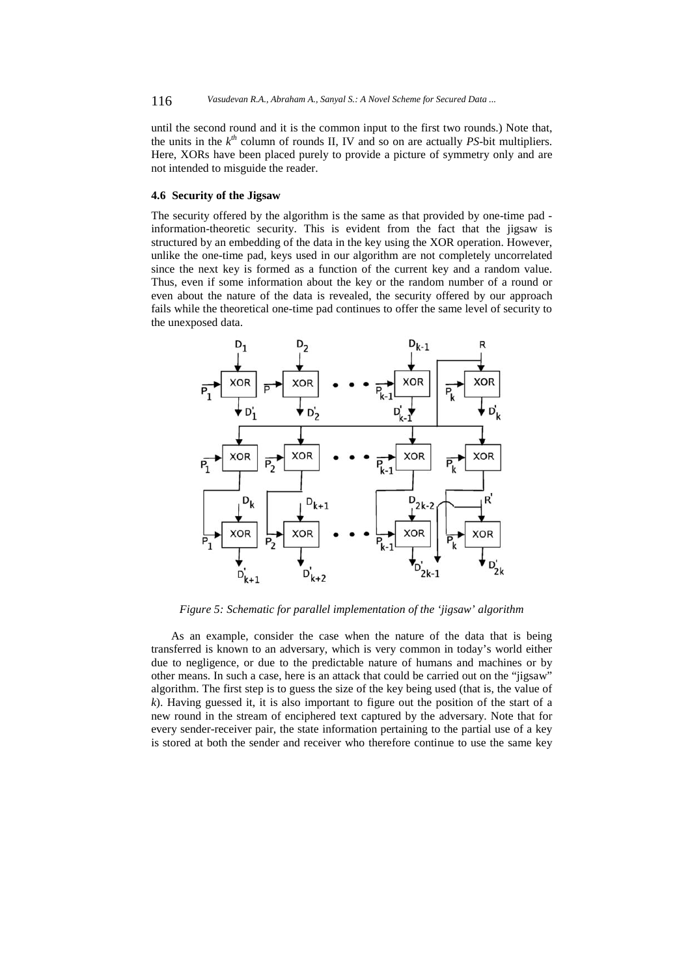until the second round and it is the common input to the first two rounds.) Note that, the units in the  $k^{th}$  column of rounds II, IV and so on are actually *PS*-bit multipliers. Here, XORs have been placed purely to provide a picture of symmetry only and are not intended to misguide the reader.

### **4.6 Security of the Jigsaw**

The security offered by the algorithm is the same as that provided by one-time pad information-theoretic security. This is evident from the fact that the jigsaw is structured by an embedding of the data in the key using the XOR operation. However, unlike the one-time pad, keys used in our algorithm are not completely uncorrelated since the next key is formed as a function of the current key and a random value. Thus, even if some information about the key or the random number of a round or even about the nature of the data is revealed, the security offered by our approach fails while the theoretical one-time pad continues to offer the same level of security to the unexposed data.



*Figure 5: Schematic for parallel implementation of the 'jigsaw' algorithm* 

As an example, consider the case when the nature of the data that is being transferred is known to an adversary, which is very common in today's world either due to negligence, or due to the predictable nature of humans and machines or by other means. In such a case, here is an attack that could be carried out on the "jigsaw" algorithm. The first step is to guess the size of the key being used (that is, the value of *k*). Having guessed it, it is also important to figure out the position of the start of a new round in the stream of enciphered text captured by the adversary. Note that for every sender-receiver pair, the state information pertaining to the partial use of a key is stored at both the sender and receiver who therefore continue to use the same key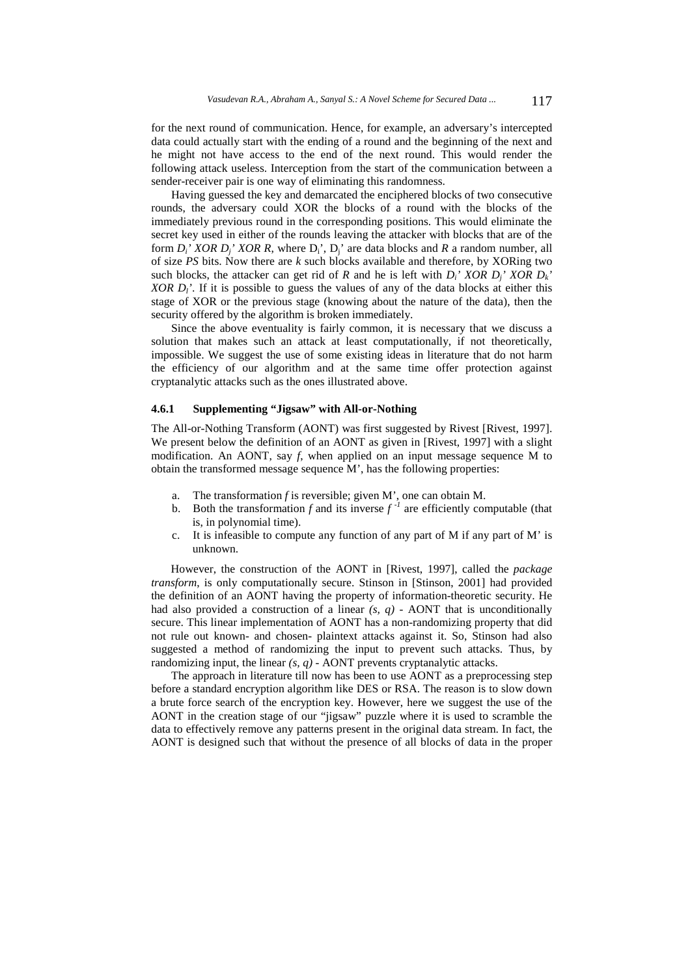for the next round of communication. Hence, for example, an adversary's intercepted data could actually start with the ending of a round and the beginning of the next and he might not have access to the end of the next round. This would render the following attack useless. Interception from the start of the communication between a sender-receiver pair is one way of eliminating this randomness.

Having guessed the key and demarcated the enciphered blocks of two consecutive rounds, the adversary could XOR the blocks of a round with the blocks of the immediately previous round in the corresponding positions. This would eliminate the secret key used in either of the rounds leaving the attacker with blocks that are of the form  $D_i'$  XOR  $D_i'$  XOR R, where  $D_i'$ ,  $D_i'$  are data blocks and R a random number, all of size *PS* bits. Now there are *k* such blocks available and therefore, by XORing two such blocks, the attacker can get rid of  $R$  and he is left with  $D_i'$  *XOR*  $D_i'$  *XOR*  $D_k'$ *XOR D<sub>l</sub>'*. If it is possible to guess the values of any of the data blocks at either this stage of XOR or the previous stage (knowing about the nature of the data), then the security offered by the algorithm is broken immediately.

Since the above eventuality is fairly common, it is necessary that we discuss a solution that makes such an attack at least computationally, if not theoretically, impossible. We suggest the use of some existing ideas in literature that do not harm the efficiency of our algorithm and at the same time offer protection against cryptanalytic attacks such as the ones illustrated above.

### **4.6.1 Supplementing "Jigsaw" with All-or-Nothing**

The All-or-Nothing Transform (AONT) was first suggested by Rivest [Rivest, 1997]. We present below the definition of an AONT as given in [Rivest, 1997] with a slight modification. An AONT, say *f*, when applied on an input message sequence M to obtain the transformed message sequence M', has the following properties:

- a. The transformation *f* is reversible; given M', one can obtain M.
- b. Both the transformation *f* and its inverse  $f^{-1}$  are efficiently computable (that is, in polynomial time).
- c. It is infeasible to compute any function of any part of M if any part of M' is unknown.

However, the construction of the AONT in [Rivest, 1997], called the *package transform*, is only computationally secure. Stinson in [Stinson, 2001] had provided the definition of an AONT having the property of information-theoretic security. He had also provided a construction of a linear  $(s, q)$  - AONT that is unconditionally secure. This linear implementation of AONT has a non-randomizing property that did not rule out known- and chosen- plaintext attacks against it. So, Stinson had also suggested a method of randomizing the input to prevent such attacks. Thus, by randomizing input, the linear *(s, q) -* AONT prevents cryptanalytic attacks.

The approach in literature till now has been to use AONT as a preprocessing step before a standard encryption algorithm like DES or RSA. The reason is to slow down a brute force search of the encryption key. However, here we suggest the use of the AONT in the creation stage of our "jigsaw" puzzle where it is used to scramble the data to effectively remove any patterns present in the original data stream. In fact, the AONT is designed such that without the presence of all blocks of data in the proper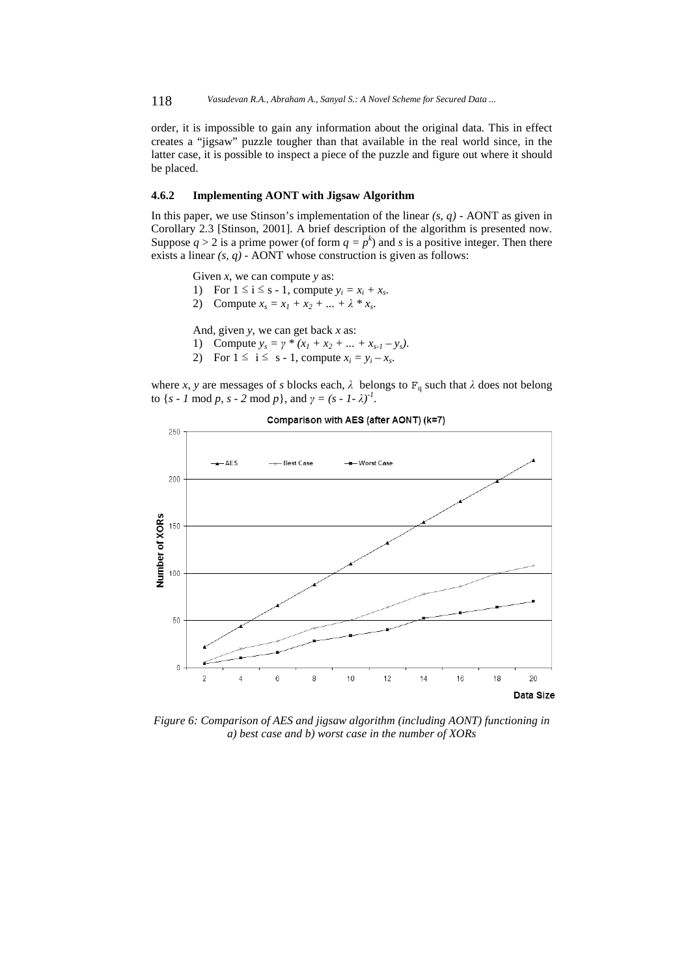118 *Vasudevan R.A., Abraham A., Sanyal S.: A Novel Scheme for Secured Data ...*

order, it is impossible to gain any information about the original data. This in effect creates a "jigsaw" puzzle tougher than that available in the real world since, in the latter case, it is possible to inspect a piece of the puzzle and figure out where it should be placed.

### **4.6.2 Implementing AONT with Jigsaw Algorithm**

In this paper, we use Stinson's implementation of the linear  $(s, q)$  - AONT as given in Corollary 2.3 [Stinson, 2001]. A brief description of the algorithm is presented now. Suppose  $q > 2$  is a prime power (of form  $q = p^k$ ) and *s* is a positive integer. Then there exists a linear *(s, q)* - AONT whose construction is given as follows:

Given *x*, we can compute *y* as:

- 1) For  $1 \le i \le s 1$ , compute  $y_i = x_i + x_s$ .
- 2) Compute  $x_s = x_1 + x_2 + ... + \lambda * x_s$ .

And, given *y*, we can get back *x* as:

- 1) Compute  $y_s = \gamma * (x_1 + x_2 + ... + x_{s-1} y_s)$ .
- 2) For  $1 \le i \le s 1$ , compute  $x_i = y_i x_s$ .

where *x*, *y* are messages of *s* blocks each,  $\lambda$  belongs to  $F_q$  such that  $\lambda$  does not belong to  $\{s - 1 \mod p, s - 2 \mod p\}$ , and  $\gamma = (s - 1 - \lambda)^{-1}$ .



Comparison with AES (after AONT) (k=7)

*Figure 6: Comparison of AES and jigsaw algorithm (including AONT) functioning in a) best case and b) worst case in the number of XORs*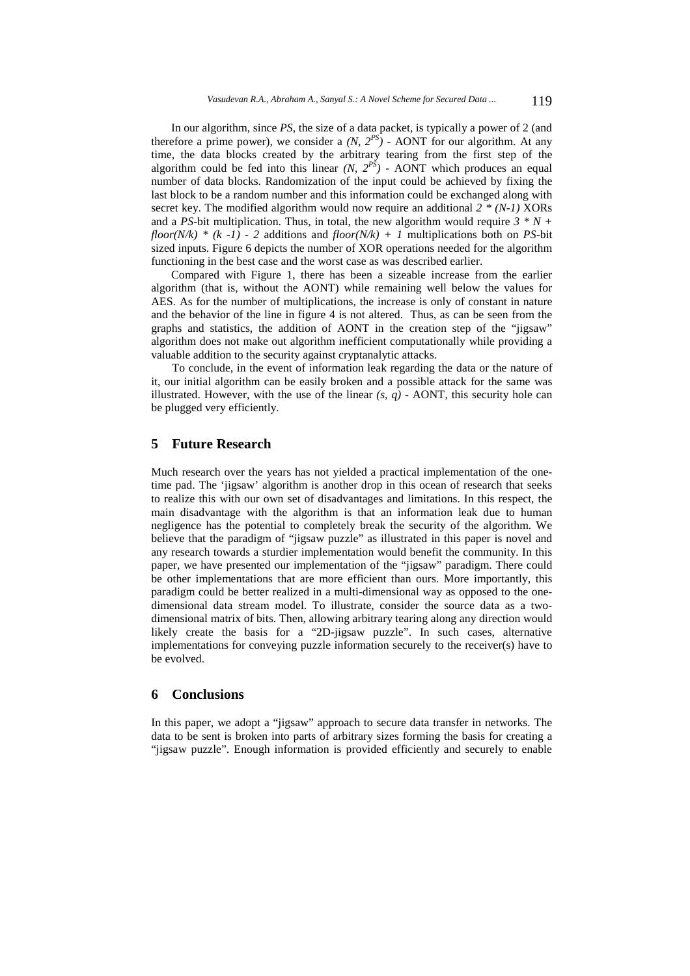In our algorithm, since *PS*, the size of a data packet, is typically a power of 2 (and therefore a prime power), we consider a  $(N, 2^{PS})$  - AONT for our algorithm. At any time, the data blocks created by the arbitrary tearing from the first step of the algorithm could be fed into this linear  $(N, 2^{P\tilde{S}})$  - AONT which produces an equal number of data blocks. Randomization of the input could be achieved by fixing the last block to be a random number and this information could be exchanged along with secret key. The modified algorithm would now require an additional *2 \* (N-1)* XORs and a *PS*-bit multiplication. Thus, in total, the new algorithm would require  $3 * N +$ *floor(N/k)* \*  $(k -1)$  - 2 additions and *floor(N/k)* + 1 multiplications both on *PS*-bit sized inputs. Figure 6 depicts the number of XOR operations needed for the algorithm functioning in the best case and the worst case as was described earlier.

Compared with Figure 1, there has been a sizeable increase from the earlier algorithm (that is, without the AONT) while remaining well below the values for AES. As for the number of multiplications, the increase is only of constant in nature and the behavior of the line in figure 4 is not altered. Thus, as can be seen from the graphs and statistics, the addition of AONT in the creation step of the "jigsaw" algorithm does not make out algorithm inefficient computationally while providing a valuable addition to the security against cryptanalytic attacks.

To conclude, in the event of information leak regarding the data or the nature of it, our initial algorithm can be easily broken and a possible attack for the same was illustrated. However, with the use of the linear  $(s, q)$  - AONT, this security hole can be plugged very efficiently.

## **5 Future Research**

Much research over the years has not yielded a practical implementation of the onetime pad. The 'jigsaw' algorithm is another drop in this ocean of research that seeks to realize this with our own set of disadvantages and limitations. In this respect, the main disadvantage with the algorithm is that an information leak due to human negligence has the potential to completely break the security of the algorithm. We believe that the paradigm of "jigsaw puzzle" as illustrated in this paper is novel and any research towards a sturdier implementation would benefit the community. In this paper, we have presented our implementation of the "jigsaw" paradigm. There could be other implementations that are more efficient than ours. More importantly, this paradigm could be better realized in a multi-dimensional way as opposed to the onedimensional data stream model. To illustrate, consider the source data as a twodimensional matrix of bits. Then, allowing arbitrary tearing along any direction would likely create the basis for a "2D-jigsaw puzzle". In such cases, alternative implementations for conveying puzzle information securely to the receiver(s) have to be evolved.

### **6 Conclusions**

In this paper, we adopt a "jigsaw" approach to secure data transfer in networks. The data to be sent is broken into parts of arbitrary sizes forming the basis for creating a "jigsaw puzzle". Enough information is provided efficiently and securely to enable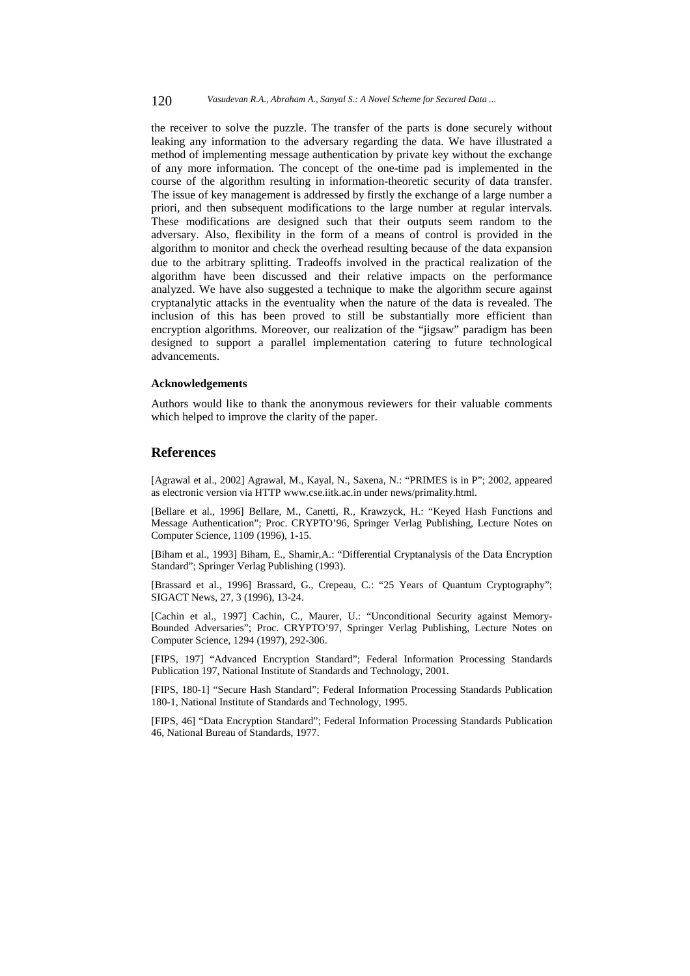the receiver to solve the puzzle. The transfer of the parts is done securely without leaking any information to the adversary regarding the data. We have illustrated a method of implementing message authentication by private key without the exchange of any more information. The concept of the one-time pad is implemented in the course of the algorithm resulting in information-theoretic security of data transfer. The issue of key management is addressed by firstly the exchange of a large number a priori, and then subsequent modifications to the large number at regular intervals. These modifications are designed such that their outputs seem random to the adversary. Also, flexibility in the form of a means of control is provided in the algorithm to monitor and check the overhead resulting because of the data expansion due to the arbitrary splitting. Tradeoffs involved in the practical realization of the algorithm have been discussed and their relative impacts on the performance analyzed. We have also suggested a technique to make the algorithm secure against cryptanalytic attacks in the eventuality when the nature of the data is revealed. The inclusion of this has been proved to still be substantially more efficient than encryption algorithms. Moreover, our realization of the "jigsaw" paradigm has been designed to support a parallel implementation catering to future technological advancements.

### **Acknowledgements**

Authors would like to thank the anonymous reviewers for their valuable comments which helped to improve the clarity of the paper.

## **References**

[Agrawal et al., 2002] Agrawal, M., Kayal, N., Saxena, N.: "PRIMES is in P"; 2002, appeared as electronic version via HTTP www.cse.iitk.ac.in under news/primality.html.

[Bellare et al., 1996] Bellare, M., Canetti, R., Krawzyck, H.: "Keyed Hash Functions and Message Authentication"; Proc. CRYPTO'96, Springer Verlag Publishing, Lecture Notes on Computer Science, 1109 (1996), 1-15.

[Biham et al., 1993] Biham, E., Shamir,A.: "Differential Cryptanalysis of the Data Encryption Standard"; Springer Verlag Publishing (1993).

[Brassard et al., 1996] Brassard, G., Crepeau, C.: "25 Years of Quantum Cryptography"; SIGACT News, 27, 3 (1996), 13-24.

[Cachin et al., 1997] Cachin, C., Maurer, U.: "Unconditional Security against Memory-Bounded Adversaries"; Proc. CRYPTO'97, Springer Verlag Publishing, Lecture Notes on Computer Science, 1294 (1997), 292-306.

[FIPS, 197] "Advanced Encryption Standard"; Federal Information Processing Standards Publication 197, National Institute of Standards and Technology, 2001.

[FIPS, 180-1] "Secure Hash Standard"; Federal Information Processing Standards Publication 180-1, National Institute of Standards and Technology, 1995.

[FIPS, 46] "Data Encryption Standard"; Federal Information Processing Standards Publication 46, National Bureau of Standards, 1977.